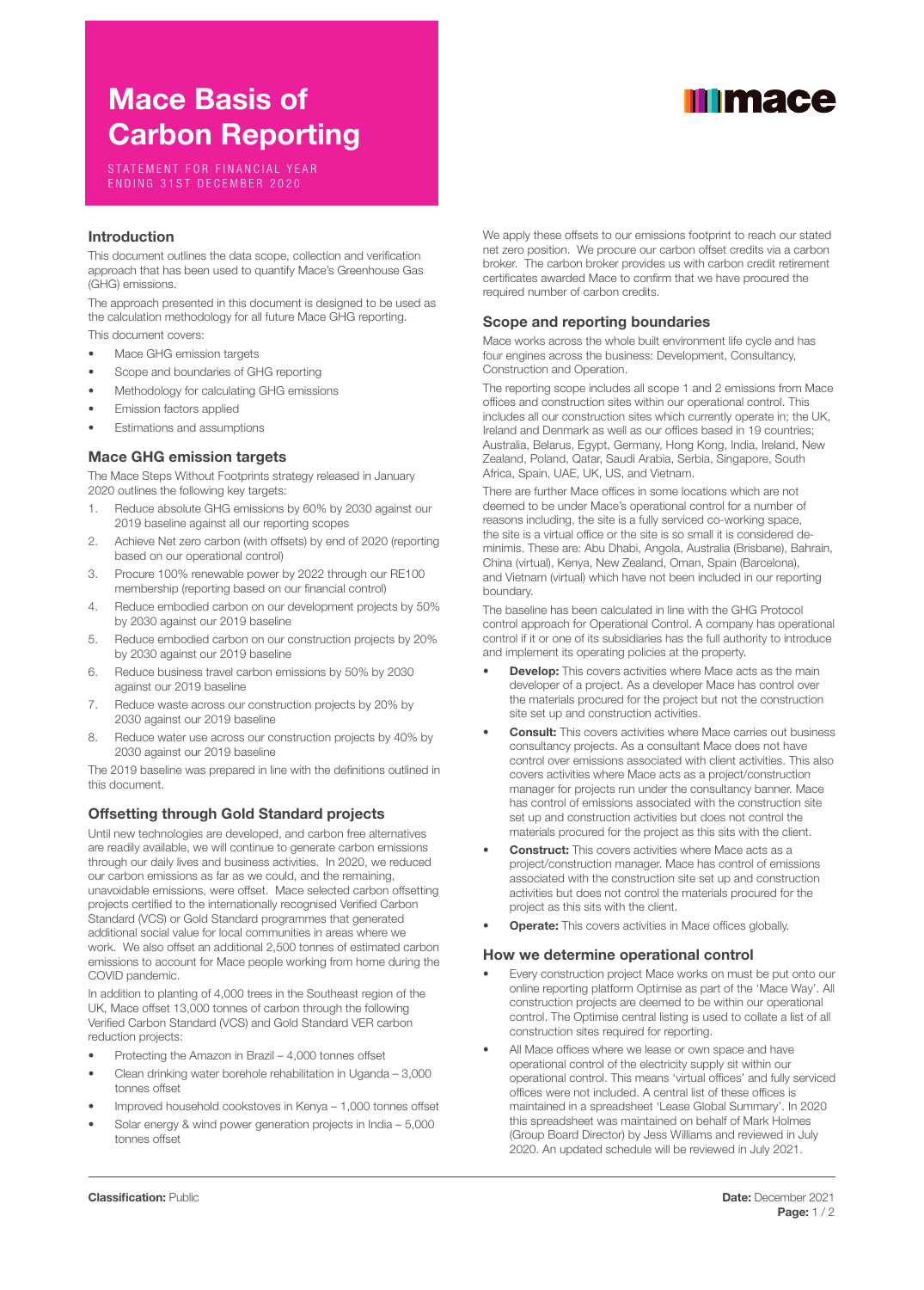# Mace Basis of Carbon Reporting

STATEMENT FOR FINANCIAL YEAR ENDING 31ST DECEMBER 2020

## Introduction

This document outlines the data scope, collection and verification approach that has been used to quantify Mace's Greenhouse Gas (GHG) emissions.

The approach presented in this document is designed to be used as the calculation methodology for all future Mace GHG reporting.

This document covers:

- Mace GHG emission targets
- Scope and boundaries of GHG reporting
- Methodology for calculating GHG emissions
- Emission factors applied
- Estimations and assumptions

## Mace GHG emission targets

The Mace Steps Without Footprints strategy released in January 2020 outlines the following key targets:

- 1. Reduce absolute GHG emissions by 60% by 2030 against our 2019 baseline against all our reporting scopes
- 2. Achieve Net zero carbon (with offsets) by end of 2020 (reporting based on our operational control)
- 3. Procure 100% renewable power by 2022 through our RE100 membership (reporting based on our financial control)
- 4. Reduce embodied carbon on our development projects by 50% by 2030 against our 2019 baseline
- 5. Reduce embodied carbon on our construction projects by 20% by 2030 against our 2019 baseline
- 6. Reduce business travel carbon emissions by 50% by 2030 against our 2019 baseline
- 7. Reduce waste across our construction projects by 20% by 2030 against our 2019 baseline
- 8. Reduce water use across our construction projects by 40% by 2030 against our 2019 baseline

The 2019 baseline was prepared in line with the definitions outlined in this document.

# Offsetting through Gold Standard projects

Until new technologies are developed, and carbon free alternatives are readily available, we will continue to generate carbon emissions through our daily lives and business activities. In 2020, we reduced our carbon emissions as far as we could, and the remaining, unavoidable emissions, were offset. Mace selected carbon offsetting projects certified to the internationally recognised Verified Carbon Standard (VCS) or Gold Standard programmes that generated additional social value for local communities in areas where we work. We also offset an additional 2,500 tonnes of estimated carbon emissions to account for Mace people working from home during the COVID pandemic.

In addition to planting of 4,000 trees in the Southeast region of the UK, Mace offset 13,000 tonnes of carbon through the following Verified Carbon Standard (VCS) and Gold Standard VER carbon reduction projects:

- Protecting the Amazon in Brazil 4,000 tonnes offset
- Clean drinking water borehole rehabilitation in Uganda 3,000 tonnes offset
- Improved household cookstoves in Kenya 1,000 tonnes offset
- Solar energy & wind power generation projects in India 5,000 tonnes offset

#### We apply these offsets to our emissions footprint to reach our stated net zero position. We procure our carbon offset credits via a carbon broker. The carbon broker provides us with carbon credit retirement certificates awarded Mace to confirm that we have procured the required number of carbon credits.

### Scope and reporting boundaries

Mace works across the whole built environment life cycle and has four engines across the business: Development, Consultancy, Construction and Operation.

The reporting scope includes all scope 1 and 2 emissions from Mace offices and construction sites within our operational control. This includes all our construction sites which currently operate in; the UK, Ireland and Denmark as well as our offices based in 19 countries; Australia, Belarus, Egypt, Germany, Hong Kong, India, Ireland, New Zealand, Poland, Qatar, Saudi Arabia, Serbia, Singapore, South Africa, Spain, UAE, UK, US, and Vietnam.

There are further Mace offices in some locations which are not deemed to be under Mace's operational control for a number of reasons including, the site is a fully serviced co-working space, the site is a virtual office or the site is so small it is considered deminimis. These are: Abu Dhabi, Angola, Australia (Brisbane), Bahrain, China (virtual), Kenya, New Zealand, Oman, Spain (Barcelona), and Vietnam (virtual) which have not been included in our reporting boundary.

The baseline has been calculated in line with the GHG Protocol control approach for Operational Control. A company has operational control if it or one of its subsidiaries has the full authority to introduce and implement its operating policies at the property.

- **Develop:** This covers activities where Mace acts as the main developer of a project. As a developer Mace has control over the materials procured for the project but not the construction site set up and construction activities.
- **Consult:** This covers activities where Mace carries out business consultancy projects. As a consultant Mace does not have control over emissions associated with client activities. This also covers activities where Mace acts as a project/construction manager for projects run under the consultancy banner. Mace has control of emissions associated with the construction site set up and construction activities but does not control the materials procured for the project as this sits with the client.
- **Construct:** This covers activities where Mace acts as a project/construction manager. Mace has control of emissions associated with the construction site set up and construction activities but does not control the materials procured for the project as this sits with the client.
- **Operate:** This covers activities in Mace offices globally.

## How we determine operational control

- Every construction project Mace works on must be put onto our online reporting platform Optimise as part of the 'Mace Way'. All construction projects are deemed to be within our operational control. The Optimise central listing is used to collate a list of all construction sites required for reporting.
- All Mace offices where we lease or own space and have operational control of the electricity supply sit within our operational control. This means 'virtual offices' and fully serviced offices were not included. A central list of these offices is maintained in a spreadsheet 'Lease Global Summary'. In 2020 this spreadsheet was maintained on behalf of Mark Holmes (Group Board Director) by Jess Williams and reviewed in July 2020. An updated schedule will be reviewed in July 2021.

# **Illimace**